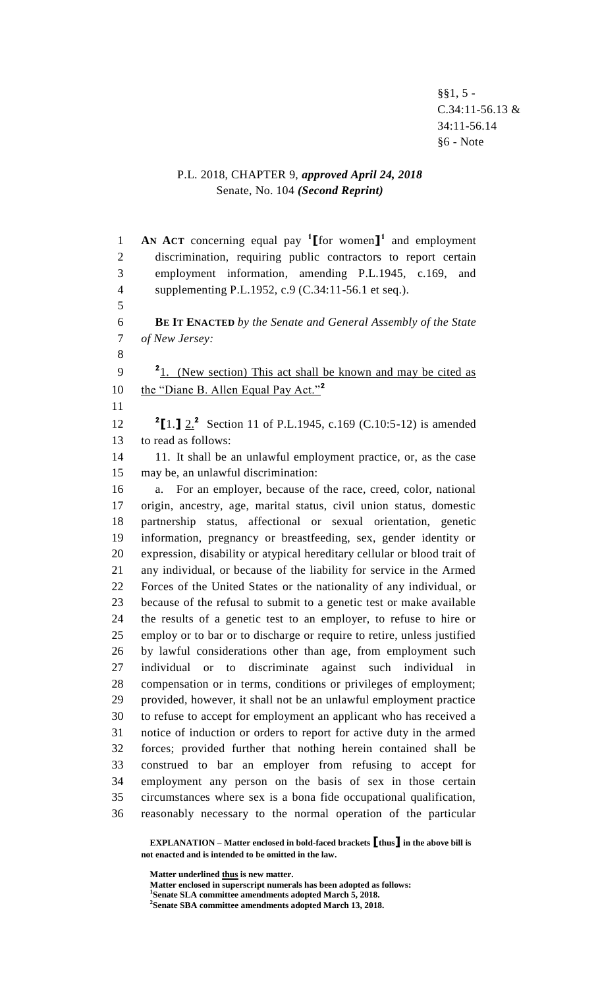$§§1, 5 -$ C.34:11-56.13 & 34:11-56.14 §6 - Note

#### P.L. 2018, CHAPTER 9, *approved April 24, 2018* Senate, No. 104 *(Second Reprint)*

**AN ACT** concerning equal pay **<sup>1</sup> [**for women**] 1** and employment discrimination, requiring public contractors to report certain employment information, amending P.L.1945, c.169, and supplementing P.L.1952, c.9 (C.34:11-56.1 et seq.). **BE IT ENACTED** *by the Senate and General Assembly of the State of New Jersey:* 21. (New section) This act shall be known and may be cited as the "Diane B. Allen Equal Pay Act."**<sup>2</sup>**  $\textbf{2} \cdot \textbf{1} \cdot \textbf{1} \cdot \textbf{2} \cdot \textbf{2}$  Section 11 of P.L.1945, c.169 (C.10:5-12) is amended to read as follows: 11. It shall be an unlawful employment practice, or, as the case may be, an unlawful discrimination: a. For an employer, because of the race, creed, color, national origin, ancestry, age, marital status, civil union status, domestic partnership status, affectional or sexual orientation, genetic information, pregnancy or breastfeeding, sex, gender identity or expression, disability or atypical hereditary cellular or blood trait of any individual, or because of the liability for service in the Armed Forces of the United States or the nationality of any individual, or because of the refusal to submit to a genetic test or make available the results of a genetic test to an employer, to refuse to hire or employ or to bar or to discharge or require to retire, unless justified by lawful considerations other than age, from employment such individual or to discriminate against such individual in compensation or in terms, conditions or privileges of employment; provided, however, it shall not be an unlawful employment practice to refuse to accept for employment an applicant who has received a notice of induction or orders to report for active duty in the armed forces; provided further that nothing herein contained shall be construed to bar an employer from refusing to accept for employment any person on the basis of sex in those certain circumstances where sex is a bona fide occupational qualification, reasonably necessary to the normal operation of the particular

**EXPLANATION – Matter enclosed in bold-faced brackets [thus] in the above bill is not enacted and is intended to be omitted in the law.**

**Matter underlined thus is new matter.**

**Matter enclosed in superscript numerals has been adopted as follows: Senate SLA committee amendments adopted March 5, 2018. Senate SBA committee amendments adopted March 13, 2018.**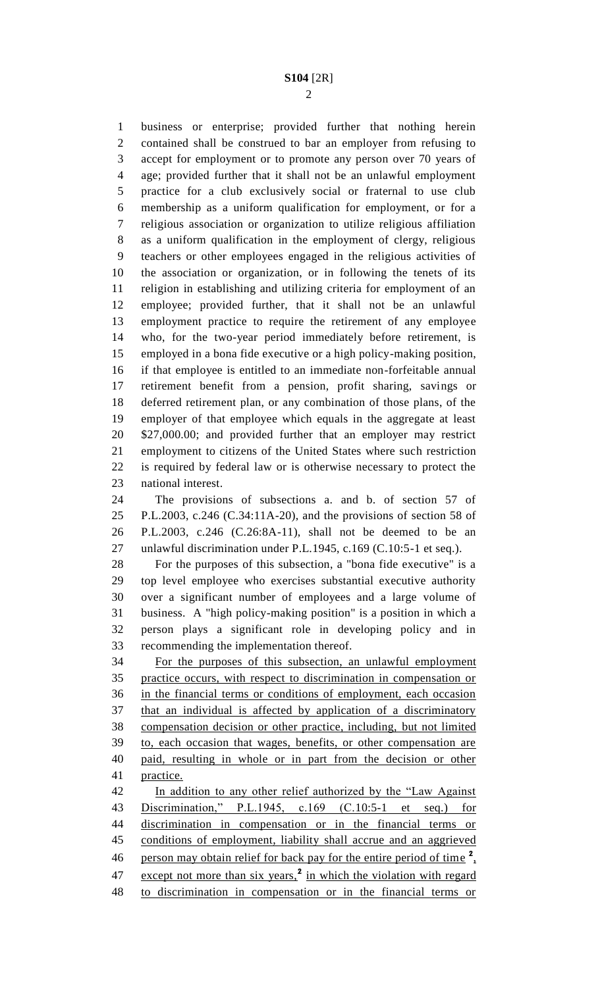business or enterprise; provided further that nothing herein contained shall be construed to bar an employer from refusing to accept for employment or to promote any person over 70 years of age; provided further that it shall not be an unlawful employment practice for a club exclusively social or fraternal to use club membership as a uniform qualification for employment, or for a religious association or organization to utilize religious affiliation as a uniform qualification in the employment of clergy, religious teachers or other employees engaged in the religious activities of the association or organization, or in following the tenets of its religion in establishing and utilizing criteria for employment of an employee; provided further, that it shall not be an unlawful employment practice to require the retirement of any employee who, for the two-year period immediately before retirement, is employed in a bona fide executive or a high policy-making position, if that employee is entitled to an immediate non-forfeitable annual retirement benefit from a pension, profit sharing, savings or deferred retirement plan, or any combination of those plans, of the employer of that employee which equals in the aggregate at least \$27,000.00; and provided further that an employer may restrict employment to citizens of the United States where such restriction is required by federal law or is otherwise necessary to protect the national interest. The provisions of subsections a. and b. of section 57 of P.L.2003, c.246 (C.34:11A-20), and the provisions of section 58 of

 P.L.2003, c.246 (C.26:8A-11), shall not be deemed to be an unlawful discrimination under P.L.1945, c.169 (C.10:5-1 et seq.).

 For the purposes of this subsection, a "bona fide executive" is a top level employee who exercises substantial executive authority over a significant number of employees and a large volume of business. A "high policy-making position" is a position in which a person plays a significant role in developing policy and in recommending the implementation thereof.

 For the purposes of this subsection, an unlawful employment practice occurs, with respect to discrimination in compensation or in the financial terms or conditions of employment, each occasion that an individual is affected by application of a discriminatory compensation decision or other practice, including, but not limited to, each occasion that wages, benefits, or other compensation are paid, resulting in whole or in part from the decision or other practice. In addition to any other relief authorized by the "Law Against

 Discrimination," P.L.1945, c.169 (C.10:5-1 et seq.) for discrimination in compensation or in the financial terms or conditions of employment, liability shall accrue and an aggrieved 46 person may obtain relief for back pay for the entire period of time , 47 except not more than six years,<sup>2</sup> in which the violation with regard to discrimination in compensation or in the financial terms or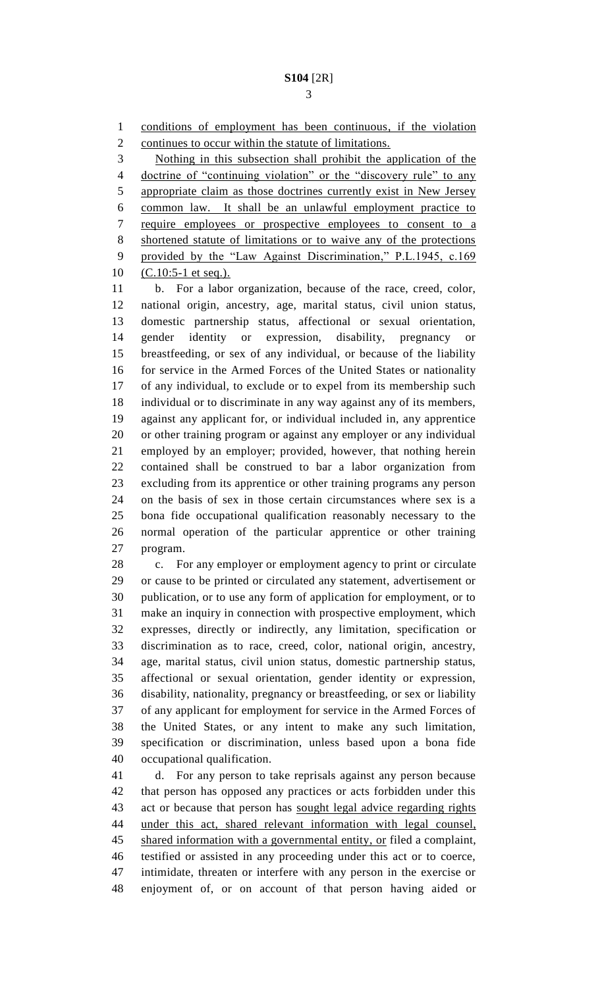conditions of employment has been continuous, if the violation continues to occur within the statute of limitations.

 Nothing in this subsection shall prohibit the application of the doctrine of "continuing violation" or the "discovery rule" to any appropriate claim as those doctrines currently exist in New Jersey common law. It shall be an unlawful employment practice to require employees or prospective employees to consent to a shortened statute of limitations or to waive any of the protections provided by the "Law Against Discrimination," P.L.1945, c.169 (C.10:5-1 et seq.).

 b. For a labor organization, because of the race, creed, color, national origin, ancestry, age, marital status, civil union status, domestic partnership status, affectional or sexual orientation, gender identity or expression, disability, pregnancy or breastfeeding, or sex of any individual, or because of the liability for service in the Armed Forces of the United States or nationality of any individual, to exclude or to expel from its membership such individual or to discriminate in any way against any of its members, against any applicant for, or individual included in, any apprentice or other training program or against any employer or any individual employed by an employer; provided, however, that nothing herein contained shall be construed to bar a labor organization from excluding from its apprentice or other training programs any person on the basis of sex in those certain circumstances where sex is a bona fide occupational qualification reasonably necessary to the normal operation of the particular apprentice or other training program.

 c. For any employer or employment agency to print or circulate or cause to be printed or circulated any statement, advertisement or publication, or to use any form of application for employment, or to make an inquiry in connection with prospective employment, which expresses, directly or indirectly, any limitation, specification or discrimination as to race, creed, color, national origin, ancestry, age, marital status, civil union status, domestic partnership status, affectional or sexual orientation, gender identity or expression, disability, nationality, pregnancy or breastfeeding, or sex or liability of any applicant for employment for service in the Armed Forces of the United States, or any intent to make any such limitation, specification or discrimination, unless based upon a bona fide occupational qualification.

 d. For any person to take reprisals against any person because that person has opposed any practices or acts forbidden under this act or because that person has sought legal advice regarding rights under this act, shared relevant information with legal counsel, shared information with a governmental entity, or filed a complaint, testified or assisted in any proceeding under this act or to coerce, intimidate, threaten or interfere with any person in the exercise or enjoyment of, or on account of that person having aided or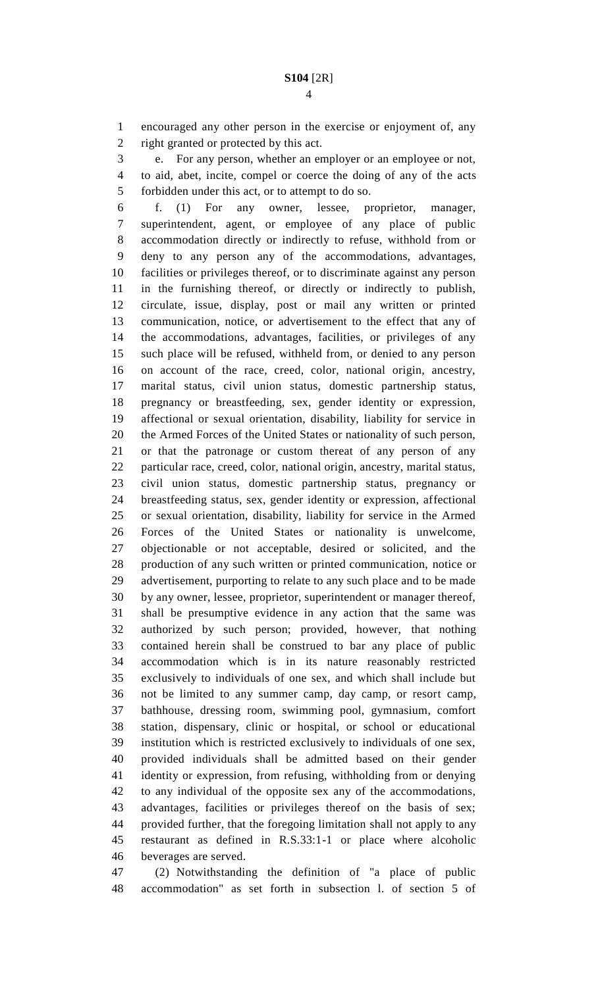encouraged any other person in the exercise or enjoyment of, any right granted or protected by this act.

 e. For any person, whether an employer or an employee or not, to aid, abet, incite, compel or coerce the doing of any of the acts forbidden under this act, or to attempt to do so.

 f. (1) For any owner, lessee, proprietor, manager, superintendent, agent, or employee of any place of public accommodation directly or indirectly to refuse, withhold from or deny to any person any of the accommodations, advantages, facilities or privileges thereof, or to discriminate against any person in the furnishing thereof, or directly or indirectly to publish, circulate, issue, display, post or mail any written or printed communication, notice, or advertisement to the effect that any of the accommodations, advantages, facilities, or privileges of any such place will be refused, withheld from, or denied to any person on account of the race, creed, color, national origin, ancestry, marital status, civil union status, domestic partnership status, pregnancy or breastfeeding, sex, gender identity or expression, affectional or sexual orientation, disability, liability for service in the Armed Forces of the United States or nationality of such person, or that the patronage or custom thereat of any person of any particular race, creed, color, national origin, ancestry, marital status, civil union status, domestic partnership status, pregnancy or breastfeeding status, sex, gender identity or expression, affectional or sexual orientation, disability, liability for service in the Armed Forces of the United States or nationality is unwelcome, objectionable or not acceptable, desired or solicited, and the production of any such written or printed communication, notice or advertisement, purporting to relate to any such place and to be made by any owner, lessee, proprietor, superintendent or manager thereof, shall be presumptive evidence in any action that the same was authorized by such person; provided, however, that nothing contained herein shall be construed to bar any place of public accommodation which is in its nature reasonably restricted exclusively to individuals of one sex, and which shall include but not be limited to any summer camp, day camp, or resort camp, bathhouse, dressing room, swimming pool, gymnasium, comfort station, dispensary, clinic or hospital, or school or educational institution which is restricted exclusively to individuals of one sex, provided individuals shall be admitted based on their gender identity or expression, from refusing, withholding from or denying to any individual of the opposite sex any of the accommodations, advantages, facilities or privileges thereof on the basis of sex; provided further, that the foregoing limitation shall not apply to any restaurant as defined in R.S.33:1-1 or place where alcoholic beverages are served.

 (2) Notwithstanding the definition of "a place of public accommodation" as set forth in subsection l. of section 5 of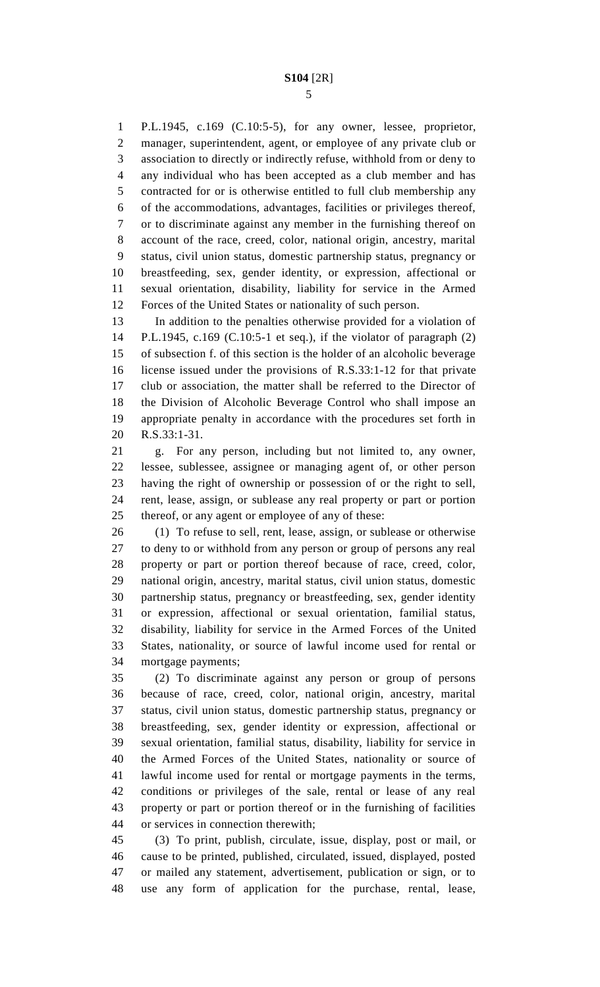P.L.1945, c.169 (C.10:5-5), for any owner, lessee, proprietor, manager, superintendent, agent, or employee of any private club or association to directly or indirectly refuse, withhold from or deny to any individual who has been accepted as a club member and has contracted for or is otherwise entitled to full club membership any of the accommodations, advantages, facilities or privileges thereof, or to discriminate against any member in the furnishing thereof on account of the race, creed, color, national origin, ancestry, marital status, civil union status, domestic partnership status, pregnancy or breastfeeding, sex, gender identity, or expression, affectional or sexual orientation, disability, liability for service in the Armed Forces of the United States or nationality of such person.

 In addition to the penalties otherwise provided for a violation of P.L.1945, c.169 (C.10:5-1 et seq.), if the violator of paragraph (2) of subsection f. of this section is the holder of an alcoholic beverage license issued under the provisions of R.S.33:1-12 for that private club or association, the matter shall be referred to the Director of the Division of Alcoholic Beverage Control who shall impose an appropriate penalty in accordance with the procedures set forth in R.S.33:1-31.

 g. For any person, including but not limited to, any owner, lessee, sublessee, assignee or managing agent of, or other person having the right of ownership or possession of or the right to sell, rent, lease, assign, or sublease any real property or part or portion thereof, or any agent or employee of any of these:

 (1) To refuse to sell, rent, lease, assign, or sublease or otherwise to deny to or withhold from any person or group of persons any real property or part or portion thereof because of race, creed, color, national origin, ancestry, marital status, civil union status, domestic partnership status, pregnancy or breastfeeding, sex, gender identity or expression, affectional or sexual orientation, familial status, disability, liability for service in the Armed Forces of the United States, nationality, or source of lawful income used for rental or mortgage payments;

 (2) To discriminate against any person or group of persons because of race, creed, color, national origin, ancestry, marital status, civil union status, domestic partnership status, pregnancy or breastfeeding, sex, gender identity or expression, affectional or sexual orientation, familial status, disability, liability for service in the Armed Forces of the United States, nationality or source of lawful income used for rental or mortgage payments in the terms, conditions or privileges of the sale, rental or lease of any real property or part or portion thereof or in the furnishing of facilities or services in connection therewith;

 (3) To print, publish, circulate, issue, display, post or mail, or cause to be printed, published, circulated, issued, displayed, posted or mailed any statement, advertisement, publication or sign, or to use any form of application for the purchase, rental, lease,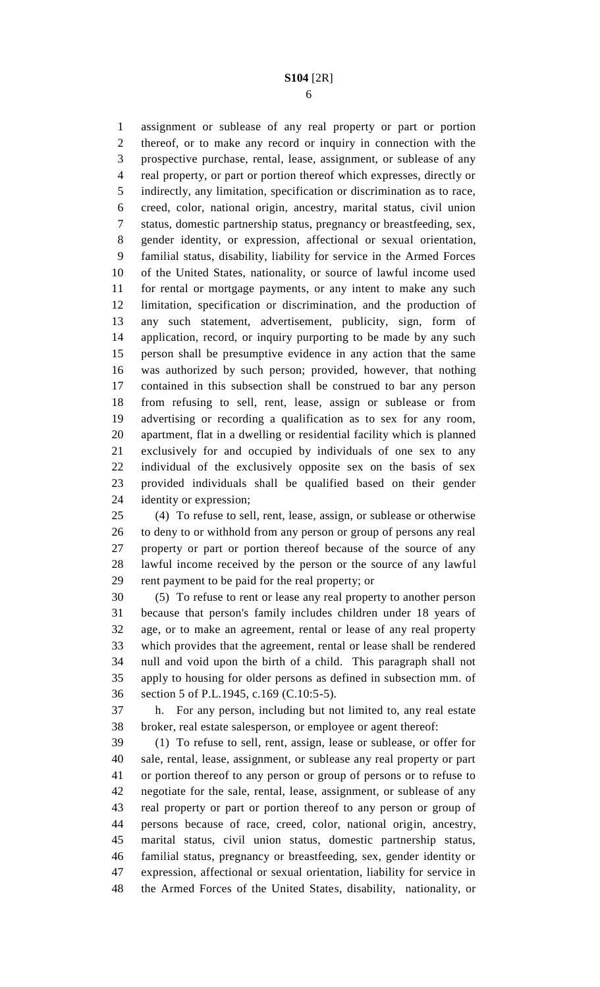assignment or sublease of any real property or part or portion thereof, or to make any record or inquiry in connection with the prospective purchase, rental, lease, assignment, or sublease of any real property, or part or portion thereof which expresses, directly or indirectly, any limitation, specification or discrimination as to race, creed, color, national origin, ancestry, marital status, civil union status, domestic partnership status, pregnancy or breastfeeding, sex, gender identity, or expression, affectional or sexual orientation, familial status, disability, liability for service in the Armed Forces of the United States, nationality, or source of lawful income used for rental or mortgage payments, or any intent to make any such limitation, specification or discrimination, and the production of any such statement, advertisement, publicity, sign, form of application, record, or inquiry purporting to be made by any such person shall be presumptive evidence in any action that the same was authorized by such person; provided, however, that nothing contained in this subsection shall be construed to bar any person from refusing to sell, rent, lease, assign or sublease or from advertising or recording a qualification as to sex for any room, apartment, flat in a dwelling or residential facility which is planned exclusively for and occupied by individuals of one sex to any individual of the exclusively opposite sex on the basis of sex provided individuals shall be qualified based on their gender identity or expression;

 (4) To refuse to sell, rent, lease, assign, or sublease or otherwise to deny to or withhold from any person or group of persons any real property or part or portion thereof because of the source of any lawful income received by the person or the source of any lawful rent payment to be paid for the real property; or

 (5) To refuse to rent or lease any real property to another person because that person's family includes children under 18 years of age, or to make an agreement, rental or lease of any real property which provides that the agreement, rental or lease shall be rendered null and void upon the birth of a child. This paragraph shall not apply to housing for older persons as defined in subsection mm. of section 5 of P.L.1945, c.169 (C.10:5-5).

 h. For any person, including but not limited to, any real estate broker, real estate salesperson, or employee or agent thereof:

 (1) To refuse to sell, rent, assign, lease or sublease, or offer for sale, rental, lease, assignment, or sublease any real property or part or portion thereof to any person or group of persons or to refuse to negotiate for the sale, rental, lease, assignment, or sublease of any real property or part or portion thereof to any person or group of persons because of race, creed, color, national origin, ancestry, marital status, civil union status, domestic partnership status, familial status, pregnancy or breastfeeding, sex, gender identity or expression, affectional or sexual orientation, liability for service in the Armed Forces of the United States, disability, nationality, or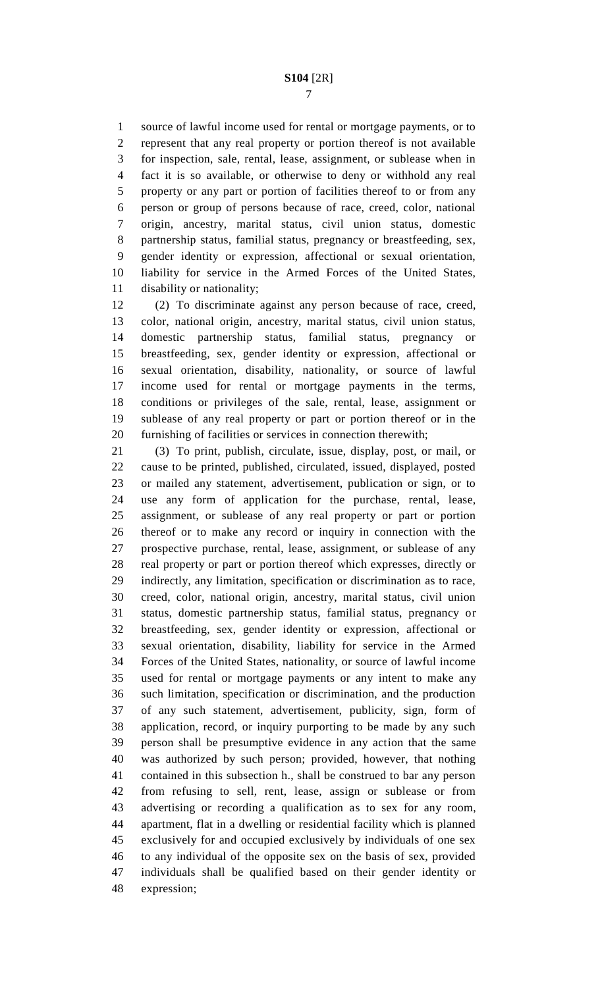source of lawful income used for rental or mortgage payments, or to represent that any real property or portion thereof is not available for inspection, sale, rental, lease, assignment, or sublease when in fact it is so available, or otherwise to deny or withhold any real property or any part or portion of facilities thereof to or from any person or group of persons because of race, creed, color, national origin, ancestry, marital status, civil union status, domestic partnership status, familial status, pregnancy or breastfeeding, sex, gender identity or expression, affectional or sexual orientation, liability for service in the Armed Forces of the United States, disability or nationality;

 (2) To discriminate against any person because of race, creed, color, national origin, ancestry, marital status, civil union status, domestic partnership status, familial status, pregnancy or breastfeeding, sex, gender identity or expression, affectional or sexual orientation, disability, nationality, or source of lawful income used for rental or mortgage payments in the terms, conditions or privileges of the sale, rental, lease, assignment or sublease of any real property or part or portion thereof or in the furnishing of facilities or services in connection therewith;

 (3) To print, publish, circulate, issue, display, post, or mail, or cause to be printed, published, circulated, issued, displayed, posted or mailed any statement, advertisement, publication or sign, or to use any form of application for the purchase, rental, lease, assignment, or sublease of any real property or part or portion thereof or to make any record or inquiry in connection with the prospective purchase, rental, lease, assignment, or sublease of any real property or part or portion thereof which expresses, directly or indirectly, any limitation, specification or discrimination as to race, creed, color, national origin, ancestry, marital status, civil union status, domestic partnership status, familial status, pregnancy or breastfeeding, sex, gender identity or expression, affectional or sexual orientation, disability, liability for service in the Armed Forces of the United States, nationality, or source of lawful income used for rental or mortgage payments or any intent to make any such limitation, specification or discrimination, and the production of any such statement, advertisement, publicity, sign, form of application, record, or inquiry purporting to be made by any such person shall be presumptive evidence in any action that the same was authorized by such person; provided, however, that nothing contained in this subsection h., shall be construed to bar any person from refusing to sell, rent, lease, assign or sublease or from advertising or recording a qualification as to sex for any room, apartment, flat in a dwelling or residential facility which is planned exclusively for and occupied exclusively by individuals of one sex to any individual of the opposite sex on the basis of sex, provided individuals shall be qualified based on their gender identity or expression;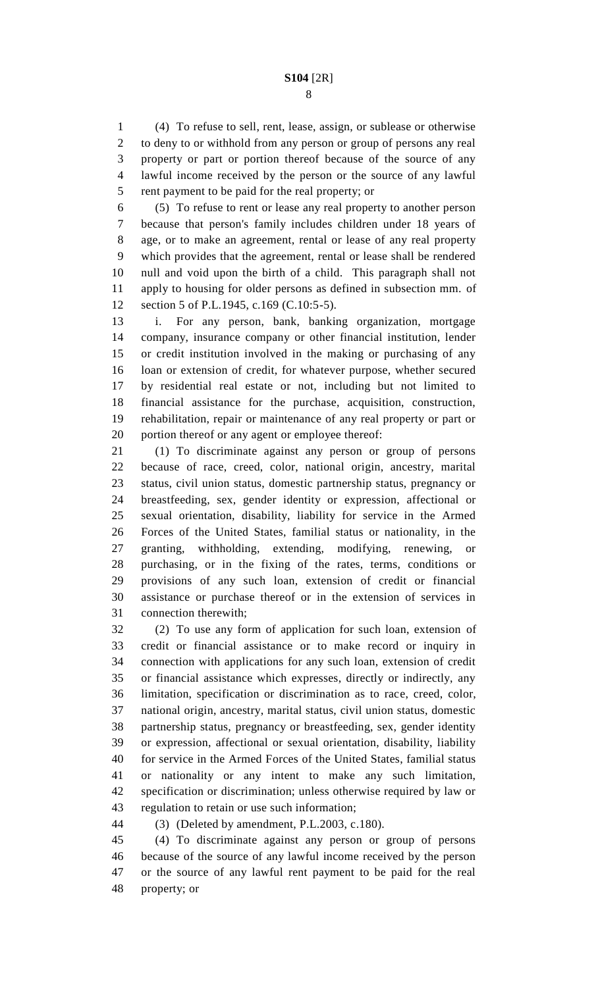(4) To refuse to sell, rent, lease, assign, or sublease or otherwise to deny to or withhold from any person or group of persons any real property or part or portion thereof because of the source of any lawful income received by the person or the source of any lawful rent payment to be paid for the real property; or

 (5) To refuse to rent or lease any real property to another person because that person's family includes children under 18 years of age, or to make an agreement, rental or lease of any real property which provides that the agreement, rental or lease shall be rendered null and void upon the birth of a child. This paragraph shall not apply to housing for older persons as defined in subsection mm. of 12 section 5 of P.L.1945, c.169 (C.10:5-5).

 i. For any person, bank, banking organization, mortgage company, insurance company or other financial institution, lender or credit institution involved in the making or purchasing of any loan or extension of credit, for whatever purpose, whether secured by residential real estate or not, including but not limited to financial assistance for the purchase, acquisition, construction, rehabilitation, repair or maintenance of any real property or part or portion thereof or any agent or employee thereof:

 (1) To discriminate against any person or group of persons because of race, creed, color, national origin, ancestry, marital status, civil union status, domestic partnership status, pregnancy or breastfeeding, sex, gender identity or expression, affectional or sexual orientation, disability, liability for service in the Armed Forces of the United States, familial status or nationality, in the 27 granting, withholding, extending, modifying, renewing, purchasing, or in the fixing of the rates, terms, conditions or provisions of any such loan, extension of credit or financial assistance or purchase thereof or in the extension of services in connection therewith;

 (2) To use any form of application for such loan, extension of credit or financial assistance or to make record or inquiry in connection with applications for any such loan, extension of credit or financial assistance which expresses, directly or indirectly, any limitation, specification or discrimination as to race, creed, color, national origin, ancestry, marital status, civil union status, domestic partnership status, pregnancy or breastfeeding, sex, gender identity or expression, affectional or sexual orientation, disability, liability for service in the Armed Forces of the United States, familial status or nationality or any intent to make any such limitation, specification or discrimination; unless otherwise required by law or regulation to retain or use such information;

(3) (Deleted by amendment, P.L.2003, c.180).

 (4) To discriminate against any person or group of persons because of the source of any lawful income received by the person or the source of any lawful rent payment to be paid for the real property; or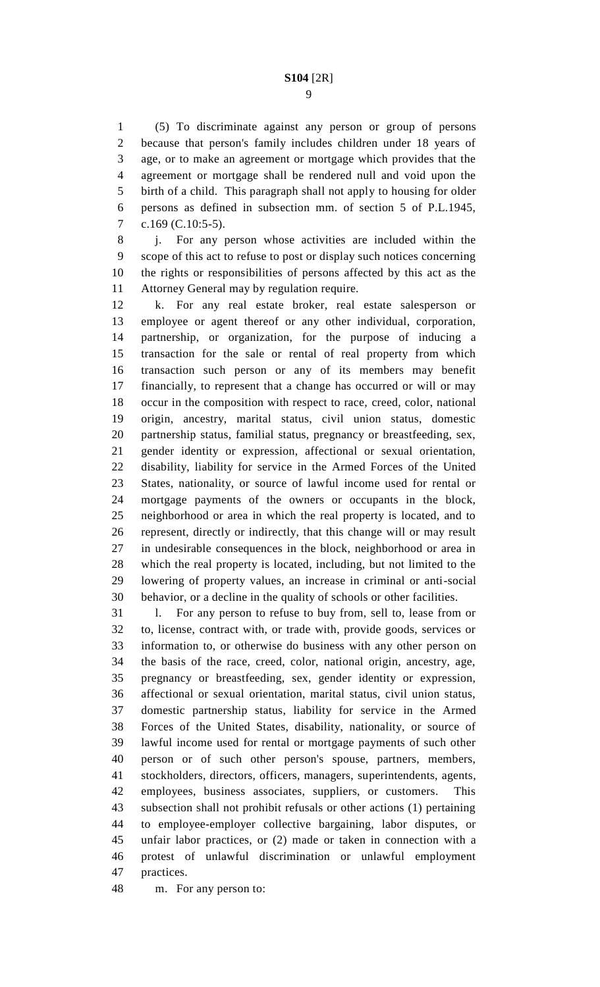(5) To discriminate against any person or group of persons because that person's family includes children under 18 years of age, or to make an agreement or mortgage which provides that the agreement or mortgage shall be rendered null and void upon the birth of a child. This paragraph shall not apply to housing for older persons as defined in subsection mm. of section 5 of P.L.1945, 7 c.169 (C.10:5-5).

 j. For any person whose activities are included within the scope of this act to refuse to post or display such notices concerning the rights or responsibilities of persons affected by this act as the Attorney General may by regulation require.

 k. For any real estate broker, real estate salesperson or employee or agent thereof or any other individual, corporation, partnership, or organization, for the purpose of inducing a transaction for the sale or rental of real property from which transaction such person or any of its members may benefit financially, to represent that a change has occurred or will or may occur in the composition with respect to race, creed, color, national origin, ancestry, marital status, civil union status, domestic partnership status, familial status, pregnancy or breastfeeding, sex, gender identity or expression, affectional or sexual orientation, disability, liability for service in the Armed Forces of the United States, nationality, or source of lawful income used for rental or mortgage payments of the owners or occupants in the block, neighborhood or area in which the real property is located, and to represent, directly or indirectly, that this change will or may result in undesirable consequences in the block, neighborhood or area in which the real property is located, including, but not limited to the lowering of property values, an increase in criminal or anti-social behavior, or a decline in the quality of schools or other facilities.

 l. For any person to refuse to buy from, sell to, lease from or to, license, contract with, or trade with, provide goods, services or information to, or otherwise do business with any other person on the basis of the race, creed, color, national origin, ancestry, age, pregnancy or breastfeeding, sex, gender identity or expression, affectional or sexual orientation, marital status, civil union status, domestic partnership status, liability for service in the Armed Forces of the United States, disability, nationality, or source of lawful income used for rental or mortgage payments of such other person or of such other person's spouse, partners, members, stockholders, directors, officers, managers, superintendents, agents, employees, business associates, suppliers, or customers. This subsection shall not prohibit refusals or other actions (1) pertaining to employee-employer collective bargaining, labor disputes, or unfair labor practices, or (2) made or taken in connection with a protest of unlawful discrimination or unlawful employment practices.

m. For any person to: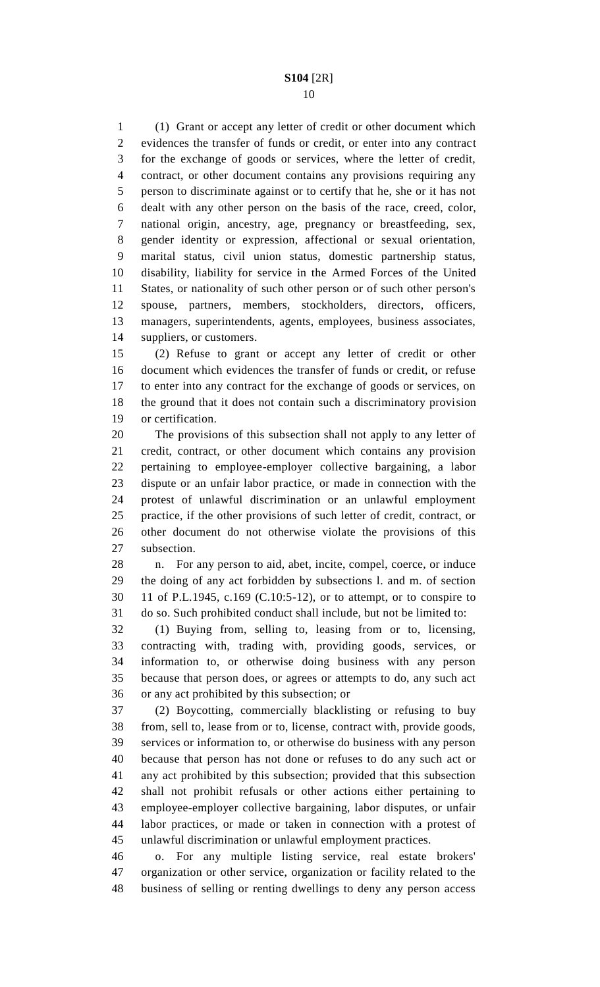(1) Grant or accept any letter of credit or other document which evidences the transfer of funds or credit, or enter into any contract for the exchange of goods or services, where the letter of credit, contract, or other document contains any provisions requiring any person to discriminate against or to certify that he, she or it has not dealt with any other person on the basis of the race, creed, color, national origin, ancestry, age, pregnancy or breastfeeding, sex, gender identity or expression, affectional or sexual orientation, marital status, civil union status, domestic partnership status, disability, liability for service in the Armed Forces of the United States, or nationality of such other person or of such other person's spouse, partners, members, stockholders, directors, officers, managers, superintendents, agents, employees, business associates, suppliers, or customers.

 (2) Refuse to grant or accept any letter of credit or other document which evidences the transfer of funds or credit, or refuse to enter into any contract for the exchange of goods or services, on the ground that it does not contain such a discriminatory provision or certification.

 The provisions of this subsection shall not apply to any letter of credit, contract, or other document which contains any provision pertaining to employee-employer collective bargaining, a labor dispute or an unfair labor practice, or made in connection with the protest of unlawful discrimination or an unlawful employment practice, if the other provisions of such letter of credit, contract, or other document do not otherwise violate the provisions of this subsection.

 n. For any person to aid, abet, incite, compel, coerce, or induce the doing of any act forbidden by subsections l. and m. of section 11 of P.L.1945, c.169 (C.10:5-12), or to attempt, or to conspire to do so. Such prohibited conduct shall include, but not be limited to:

 (1) Buying from, selling to, leasing from or to, licensing, contracting with, trading with, providing goods, services, or information to, or otherwise doing business with any person because that person does, or agrees or attempts to do, any such act or any act prohibited by this subsection; or

 (2) Boycotting, commercially blacklisting or refusing to buy from, sell to, lease from or to, license, contract with, provide goods, services or information to, or otherwise do business with any person because that person has not done or refuses to do any such act or any act prohibited by this subsection; provided that this subsection shall not prohibit refusals or other actions either pertaining to employee-employer collective bargaining, labor disputes, or unfair labor practices, or made or taken in connection with a protest of unlawful discrimination or unlawful employment practices.

 o. For any multiple listing service, real estate brokers' organization or other service, organization or facility related to the business of selling or renting dwellings to deny any person access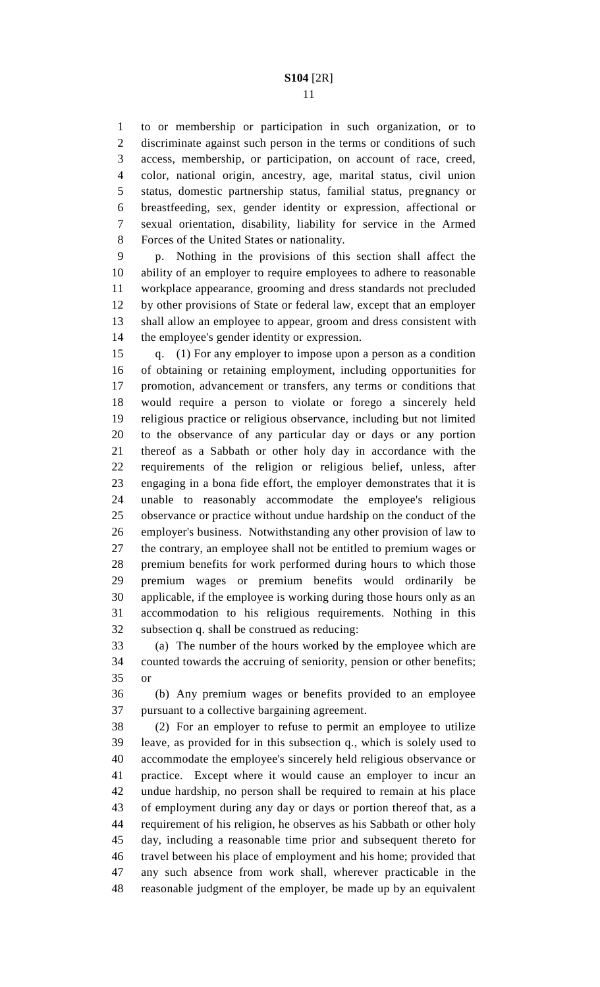to or membership or participation in such organization, or to discriminate against such person in the terms or conditions of such access, membership, or participation, on account of race, creed, color, national origin, ancestry, age, marital status, civil union status, domestic partnership status, familial status, pregnancy or breastfeeding, sex, gender identity or expression, affectional or sexual orientation, disability, liability for service in the Armed Forces of the United States or nationality.

 p. Nothing in the provisions of this section shall affect the ability of an employer to require employees to adhere to reasonable workplace appearance, grooming and dress standards not precluded by other provisions of State or federal law, except that an employer shall allow an employee to appear, groom and dress consistent with the employee's gender identity or expression.

 q. (1) For any employer to impose upon a person as a condition of obtaining or retaining employment, including opportunities for promotion, advancement or transfers, any terms or conditions that would require a person to violate or forego a sincerely held religious practice or religious observance, including but not limited to the observance of any particular day or days or any portion thereof as a Sabbath or other holy day in accordance with the requirements of the religion or religious belief, unless, after engaging in a bona fide effort, the employer demonstrates that it is unable to reasonably accommodate the employee's religious observance or practice without undue hardship on the conduct of the employer's business. Notwithstanding any other provision of law to the contrary, an employee shall not be entitled to premium wages or premium benefits for work performed during hours to which those premium wages or premium benefits would ordinarily be applicable, if the employee is working during those hours only as an accommodation to his religious requirements. Nothing in this subsection q. shall be construed as reducing:

 (a) The number of the hours worked by the employee which are counted towards the accruing of seniority, pension or other benefits; or

 (b) Any premium wages or benefits provided to an employee pursuant to a collective bargaining agreement.

 (2) For an employer to refuse to permit an employee to utilize leave, as provided for in this subsection q., which is solely used to accommodate the employee's sincerely held religious observance or practice. Except where it would cause an employer to incur an undue hardship, no person shall be required to remain at his place of employment during any day or days or portion thereof that, as a requirement of his religion, he observes as his Sabbath or other holy day, including a reasonable time prior and subsequent thereto for travel between his place of employment and his home; provided that any such absence from work shall, wherever practicable in the reasonable judgment of the employer, be made up by an equivalent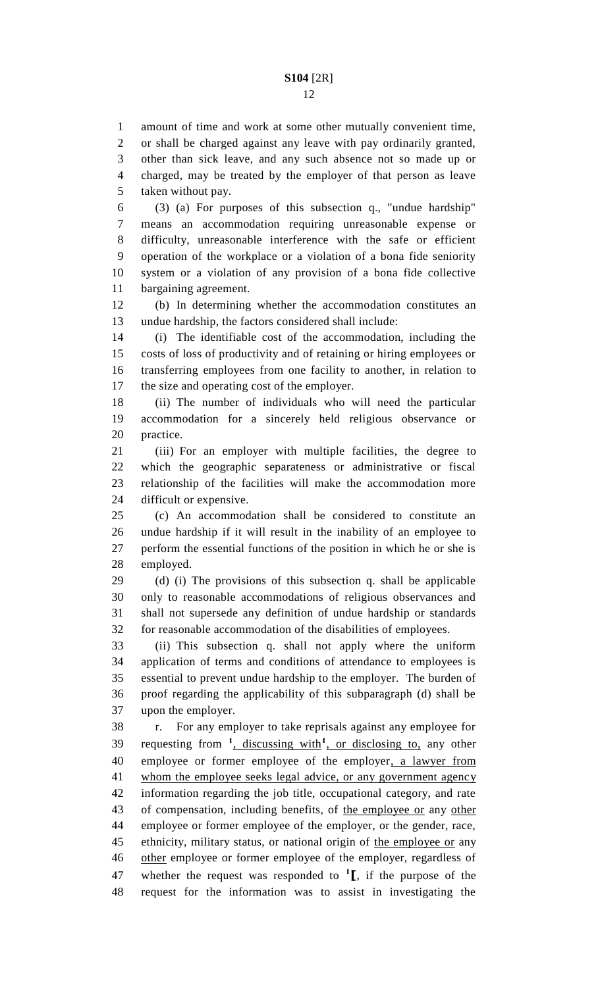amount of time and work at some other mutually convenient time,

 or shall be charged against any leave with pay ordinarily granted, other than sick leave, and any such absence not so made up or charged, may be treated by the employer of that person as leave taken without pay.

 (3) (a) For purposes of this subsection q., "undue hardship" means an accommodation requiring unreasonable expense or difficulty, unreasonable interference with the safe or efficient operation of the workplace or a violation of a bona fide seniority system or a violation of any provision of a bona fide collective bargaining agreement.

 (b) In determining whether the accommodation constitutes an undue hardship, the factors considered shall include:

 (i) The identifiable cost of the accommodation, including the costs of loss of productivity and of retaining or hiring employees or transferring employees from one facility to another, in relation to the size and operating cost of the employer.

 (ii) The number of individuals who will need the particular accommodation for a sincerely held religious observance or practice.

 (iii) For an employer with multiple facilities, the degree to which the geographic separateness or administrative or fiscal relationship of the facilities will make the accommodation more difficult or expensive.

 (c) An accommodation shall be considered to constitute an undue hardship if it will result in the inability of an employee to perform the essential functions of the position in which he or she is employed.

 (d) (i) The provisions of this subsection q. shall be applicable only to reasonable accommodations of religious observances and shall not supersede any definition of undue hardship or standards for reasonable accommodation of the disabilities of employees.

 (ii) This subsection q. shall not apply where the uniform application of terms and conditions of attendance to employees is essential to prevent undue hardship to the employer. The burden of proof regarding the applicability of this subparagraph (d) shall be upon the employer.

 r. For any employer to take reprisals against any employee for 39 requesting from <sup>1</sup>, discussing with<sup>1</sup>, or disclosing to, any other employee or former employee of the employer, a lawyer from whom the employee seeks legal advice, or any government agency information regarding the job title, occupational category, and rate of compensation, including benefits, of the employee or any other employee or former employee of the employer, or the gender, race, 45 ethnicity, military status, or national origin of the employee or any 46 other employee or former employee of the employer, regardless of 47 whether the request was responded to  $\mathbf{1}$ , if the purpose of the request for the information was to assist in investigating the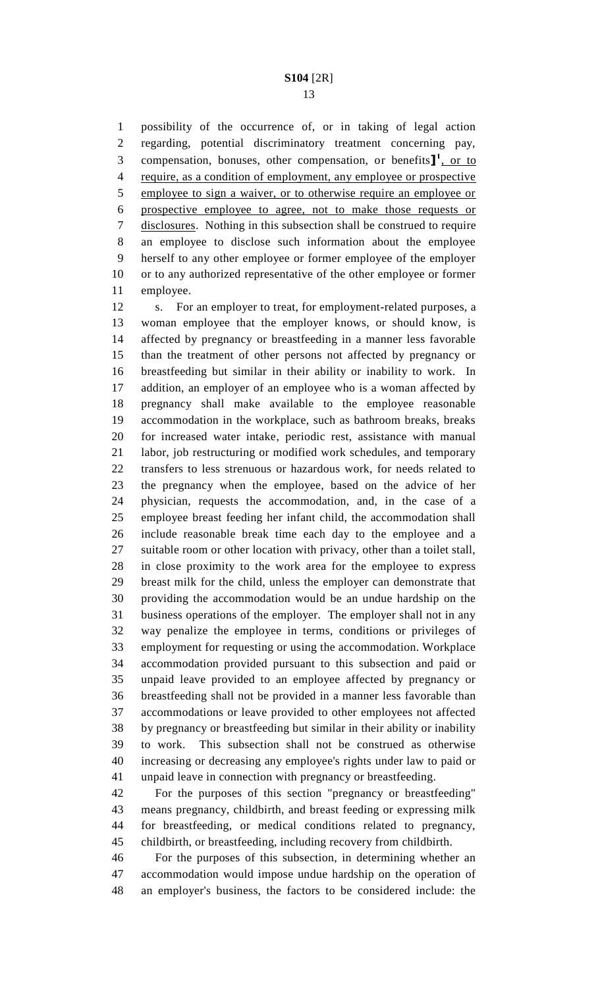possibility of the occurrence of, or in taking of legal action regarding, potential discriminatory treatment concerning pay, 3 compensation, bonuses, other compensation, or benefits<sup>1</sup>, or to require, as a condition of employment, any employee or prospective employee to sign a waiver, or to otherwise require an employee or prospective employee to agree, not to make those requests or disclosures. Nothing in this subsection shall be construed to require an employee to disclose such information about the employee herself to any other employee or former employee of the employer or to any authorized representative of the other employee or former employee.

 s. For an employer to treat, for employment-related purposes, a woman employee that the employer knows, or should know, is affected by pregnancy or breastfeeding in a manner less favorable than the treatment of other persons not affected by pregnancy or breastfeeding but similar in their ability or inability to work. In addition, an employer of an employee who is a woman affected by pregnancy shall make available to the employee reasonable accommodation in the workplace, such as bathroom breaks, breaks for increased water intake, periodic rest, assistance with manual labor, job restructuring or modified work schedules, and temporary transfers to less strenuous or hazardous work, for needs related to the pregnancy when the employee, based on the advice of her physician, requests the accommodation, and, in the case of a employee breast feeding her infant child, the accommodation shall include reasonable break time each day to the employee and a suitable room or other location with privacy, other than a toilet stall, in close proximity to the work area for the employee to express breast milk for the child, unless the employer can demonstrate that providing the accommodation would be an undue hardship on the business operations of the employer. The employer shall not in any way penalize the employee in terms, conditions or privileges of employment for requesting or using the accommodation. Workplace accommodation provided pursuant to this subsection and paid or unpaid leave provided to an employee affected by pregnancy or breastfeeding shall not be provided in a manner less favorable than accommodations or leave provided to other employees not affected by pregnancy or breastfeeding but similar in their ability or inability to work. This subsection shall not be construed as otherwise increasing or decreasing any employee's rights under law to paid or unpaid leave in connection with pregnancy or breastfeeding.

 For the purposes of this section "pregnancy or breastfeeding" means pregnancy, childbirth, and breast feeding or expressing milk for breastfeeding, or medical conditions related to pregnancy, childbirth, or breastfeeding, including recovery from childbirth.

 For the purposes of this subsection, in determining whether an accommodation would impose undue hardship on the operation of an employer's business, the factors to be considered include: the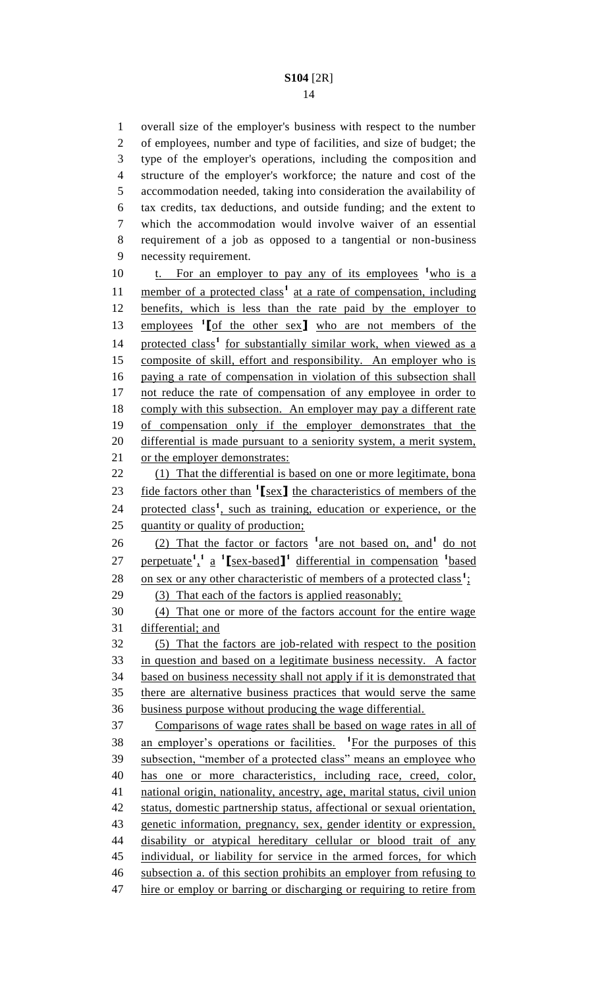overall size of the employer's business with respect to the number of employees, number and type of facilities, and size of budget; the type of the employer's operations, including the composition and structure of the employer's workforce; the nature and cost of the accommodation needed, taking into consideration the availability of tax credits, tax deductions, and outside funding; and the extent to which the accommodation would involve waiver of an essential requirement of a job as opposed to a tangential or non-business necessity requirement. 10 t. For an employer to pay any of its employees <sup>1</sup> who is a 11 member of a protected class<sup>1</sup> at a rate of compensation, including benefits, which is less than the rate paid by the employer to 13 employees <sup>1</sup> [of the other sex] who are not members of the 14 protected class<sup>1</sup> for substantially similar work, when viewed as a composite of skill, effort and responsibility. An employer who is paying a rate of compensation in violation of this subsection shall 17 not reduce the rate of compensation of any employee in order to comply with this subsection. An employer may pay a different rate of compensation only if the employer demonstrates that the differential is made pursuant to a seniority system, a merit system, or the employer demonstrates:

 (1) That the differential is based on one or more legitimate, bona 23 fide factors other than <sup>1</sup>[sex] the characteristics of members of the 24 protected class<sup>1</sup>, such as training, education or experience, or the 25 quantity or quality of production;

26 (2) That the factor or factors <sup>1</sup> are not based on, and <sup>1</sup> do not 27 perpetuate<sup>1</sup><sup>1</sup> a <sup>1</sup>[sex-based]<sup>1</sup> differential in compensation <sup>1</sup>based 28 on sex or any other characteristic of members of a protected class<sup>1</sup>;

29 (3) That each of the factors is applied reasonably;

 (4) That one or more of the factors account for the entire wage differential; and (5) That the factors are job-related with respect to the position

 in question and based on a legitimate business necessity. A factor based on business necessity shall not apply if it is demonstrated that there are alternative business practices that would serve the same business purpose without producing the wage differential.

 Comparisons of wage rates shall be based on wage rates in all of 38 an employer's operations or facilities. <sup>1</sup>For the purposes of this subsection, "member of a protected class" means an employee who has one or more characteristics, including race, creed, color, national origin, nationality, ancestry, age, marital status, civil union status, domestic partnership status, affectional or sexual orientation, genetic information, pregnancy, sex, gender identity or expression, disability or atypical hereditary cellular or blood trait of any individual, or liability for service in the armed forces, for which subsection a. of this section prohibits an employer from refusing to 47 hire or employ or barring or discharging or requiring to retire from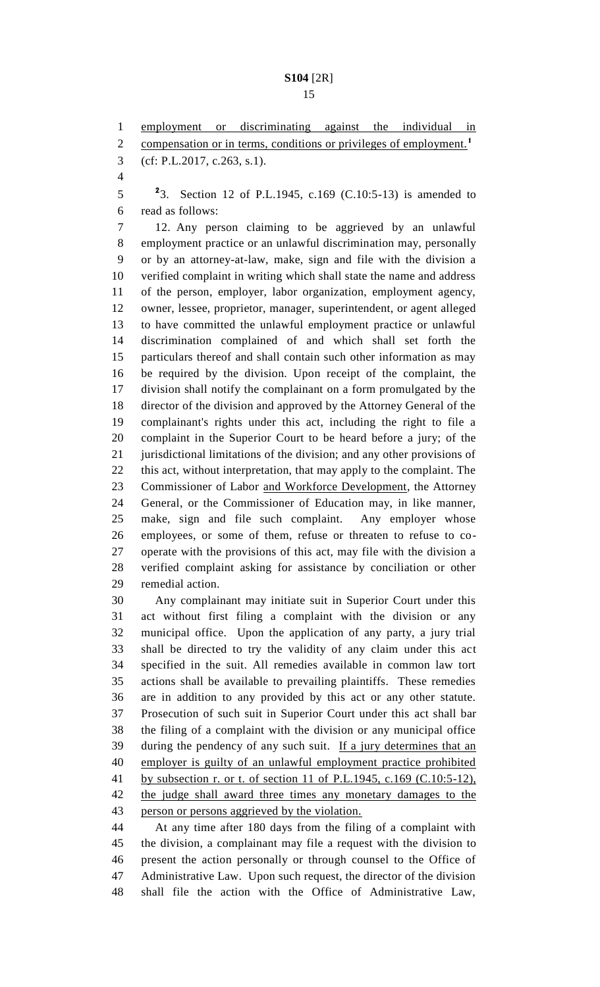employment or discriminating against the individual in

compensation or in terms, conditions or privileges of employment.**<sup>1</sup>** (cf: P.L.2017, c.263, s.1). **2 2 2 2 2 3 2 2 2 3 3 2 2 3 3 3 3 3 3 3 12 0 6 P 1 12 0 6 P 1 12 5 0 12 5 12 5 14 12 14 5 15 14 15 15 15 11 12 14 15** read as follows: 12. Any person claiming to be aggrieved by an unlawful employment practice or an unlawful discrimination may, personally or by an attorney-at-law, make, sign and file with the division a verified complaint in writing which shall state the name and address of the person, employer, labor organization, employment agency, owner, lessee, proprietor, manager, superintendent, or agent alleged to have committed the unlawful employment practice or unlawful discrimination complained of and which shall set forth the particulars thereof and shall contain such other information as may be required by the division. Upon receipt of the complaint, the division shall notify the complainant on a form promulgated by the director of the division and approved by the Attorney General of the complainant's rights under this act, including the right to file a complaint in the Superior Court to be heard before a jury; of the jurisdictional limitations of the division; and any other provisions of this act, without interpretation, that may apply to the complaint. The Commissioner of Labor and Workforce Development, the Attorney General, or the Commissioner of Education may, in like manner, make, sign and file such complaint. Any employer whose employees, or some of them, refuse or threaten to refuse to co- operate with the provisions of this act, may file with the division a verified complaint asking for assistance by conciliation or other remedial action. Any complainant may initiate suit in Superior Court under this act without first filing a complaint with the division or any municipal office. Upon the application of any party, a jury trial shall be directed to try the validity of any claim under this act specified in the suit. All remedies available in common law tort actions shall be available to prevailing plaintiffs. These remedies are in addition to any provided by this act or any other statute. Prosecution of such suit in Superior Court under this act shall bar the filing of a complaint with the division or any municipal office during the pendency of any such suit. If a jury determines that an employer is guilty of an unlawful employment practice prohibited by subsection r. or t. of section 11 of P.L.1945, c.169 (C.10:5-12), the judge shall award three times any monetary damages to the person or persons aggrieved by the violation. At any time after 180 days from the filing of a complaint with the division, a complainant may file a request with the division to present the action personally or through counsel to the Office of Administrative Law. Upon such request, the director of the division shall file the action with the Office of Administrative Law,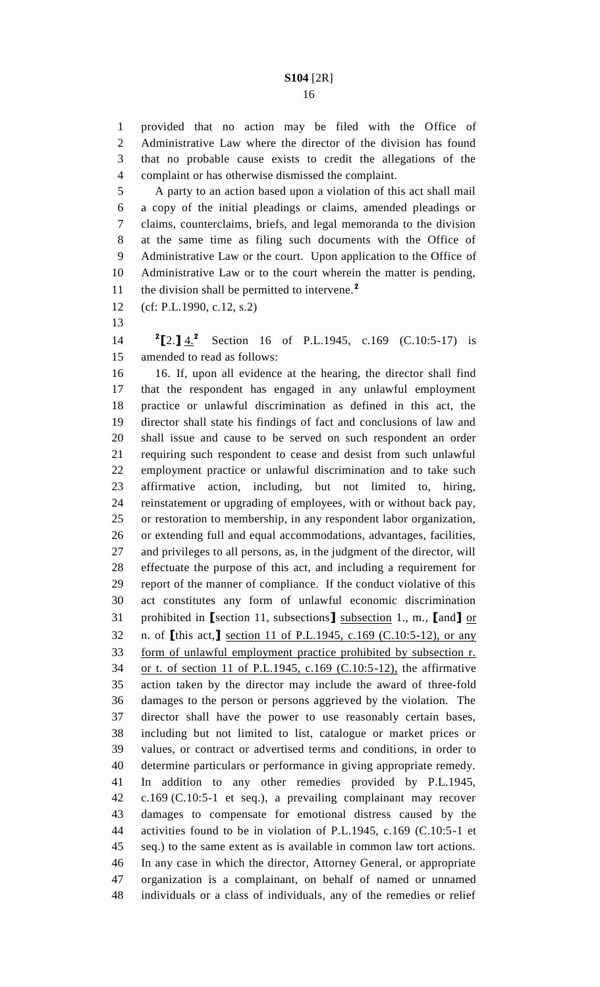provided that no action may be filed with the Office of Administrative Law where the director of the division has found that no probable cause exists to credit the allegations of the complaint or has otherwise dismissed the complaint.

 A party to an action based upon a violation of this act shall mail a copy of the initial pleadings or claims, amended pleadings or claims, counterclaims, briefs, and legal memoranda to the division at the same time as filing such documents with the Office of Administrative Law or the court. Upon application to the Office of Administrative Law or to the court wherein the matter is pending, the division shall be permitted to intervene.**<sup>2</sup>** 

(cf: P.L.1990, c.12, s.2)

**2 [**2.**]** 4.**<sup>2</sup>** Section 16 of P.L.1945, c.169 (C.10:5-17) is amended to read as follows:

 16. If, upon all evidence at the hearing, the director shall find that the respondent has engaged in any unlawful employment practice or unlawful discrimination as defined in this act, the director shall state his findings of fact and conclusions of law and shall issue and cause to be served on such respondent an order requiring such respondent to cease and desist from such unlawful employment practice or unlawful discrimination and to take such affirmative action, including, but not limited to, hiring, reinstatement or upgrading of employees, with or without back pay, or restoration to membership, in any respondent labor organization, or extending full and equal accommodations, advantages, facilities, and privileges to all persons, as, in the judgment of the director, will effectuate the purpose of this act, and including a requirement for report of the manner of compliance. If the conduct violative of this act constitutes any form of unlawful economic discrimination prohibited in **[**section 11, subsections**]** subsection 1., m., **[**and**]** or n. of **[**this act,**]** section 11 of P.L.1945, c.169 (C.10:5-12), or any form of unlawful employment practice prohibited by subsection r. or t. of section 11 of P.L.1945, c.169 (C.10:5-12), the affirmative action taken by the director may include the award of three-fold damages to the person or persons aggrieved by the violation. The director shall have the power to use reasonably certain bases, including but not limited to list, catalogue or market prices or values, or contract or advertised terms and conditions, in order to determine particulars or performance in giving appropriate remedy. In addition to any other remedies provided by P.L.1945, c.169 (C.10:5-1 et seq.), a prevailing complainant may recover damages to compensate for emotional distress caused by the activities found to be in violation of P.L.1945, c.169 (C.10:5-1 et seq.) to the same extent as is available in common law tort actions. In any case in which the director, Attorney General, or appropriate organization is a complainant, on behalf of named or unnamed individuals or a class of individuals, any of the remedies or relief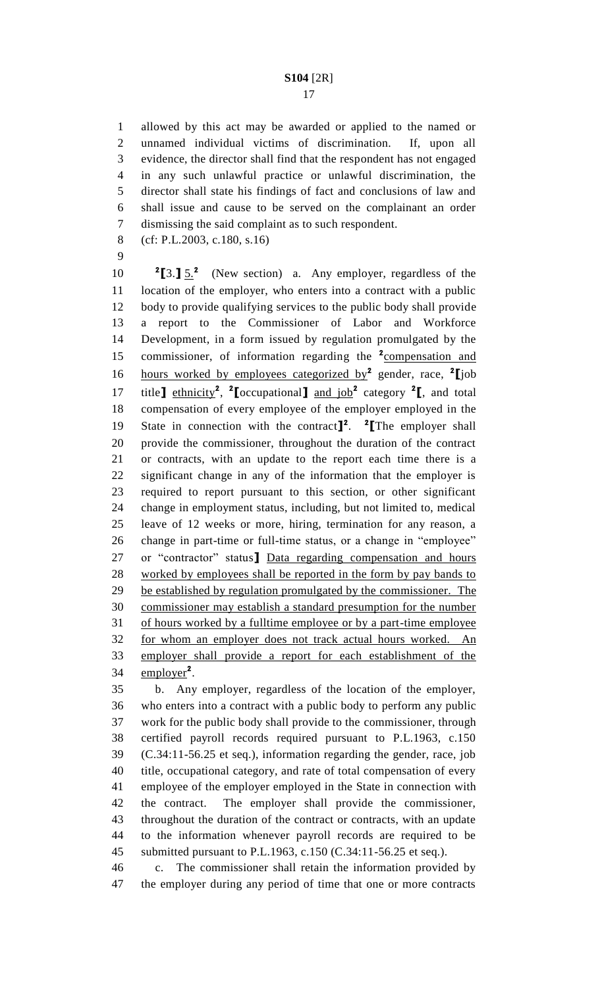allowed by this act may be awarded or applied to the named or unnamed individual victims of discrimination. If, upon all evidence, the director shall find that the respondent has not engaged in any such unlawful practice or unlawful discrimination, the director shall state his findings of fact and conclusions of law and shall issue and cause to be served on the complainant an order dismissing the said complaint as to such respondent.

- (cf: P.L.2003, c.180, s.16)
- 

 **[**3.**]** 5.**<sup>2</sup>** (New section) a. Any employer, regardless of the location of the employer, who enters into a contract with a public body to provide qualifying services to the public body shall provide a report to the Commissioner of Labor and Workforce Development, in a form issued by regulation promulgated by the 15 commissioner, of information regarding the <sup>2</sup>compensation and 16 hours worked by employees categorized by<sup>2</sup> gender, race, <sup>2</sup>[job] 17 title<sup>]</sup> ethnicity<sup>2</sup>, <sup>2</sup>[occupational] and job<sup>2</sup> category <sup>2</sup>[, and total compensation of every employee of the employer employed in the 19 State in connection with the contract<sup>1</sup><sup>2</sup>. <sup>2</sup> The employer shall provide the commissioner, throughout the duration of the contract or contracts, with an update to the report each time there is a significant change in any of the information that the employer is required to report pursuant to this section, or other significant change in employment status, including, but not limited to, medical leave of 12 weeks or more, hiring, termination for any reason, a change in part-time or full-time status, or a change in "employee" or "contractor" status**]** Data regarding compensation and hours worked by employees shall be reported in the form by pay bands to be established by regulation promulgated by the commissioner. The commissioner may establish a standard presumption for the number of hours worked by a fulltime employee or by a part-time employee for whom an employer does not track actual hours worked. An employer shall provide a report for each establishment of the **employer<sup>2</sup>.** 

 b. Any employer, regardless of the location of the employer, who enters into a contract with a public body to perform any public work for the public body shall provide to the commissioner, through certified payroll records required pursuant to P.L.1963, c.150 (C.34:11-56.25 et seq.), information regarding the gender, race, job title, occupational category, and rate of total compensation of every employee of the employer employed in the State in connection with the contract. The employer shall provide the commissioner, throughout the duration of the contract or contracts, with an update to the information whenever payroll records are required to be submitted pursuant to P.L.1963, c.150 (C.34:11-56.25 et seq.).

 c. The commissioner shall retain the information provided by the employer during any period of time that one or more contracts